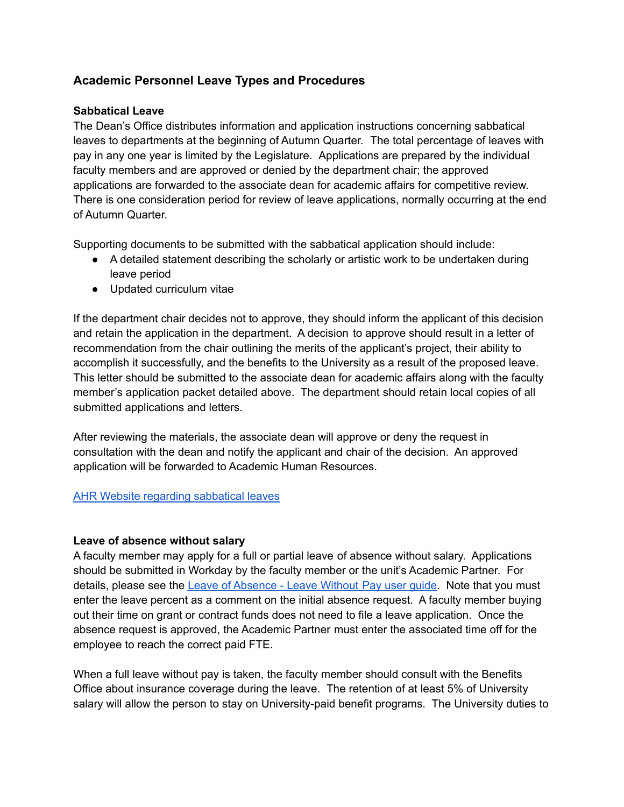# **Academic Personnel Leave Types and Procedures**

## **Sabbatical Leave**

The Dean's Office distributes information and application instructions concerning sabbatical leaves to departments at the beginning of Autumn Quarter. The total percentage of leaves with pay in any one year is limited by the Legislature. Applications are prepared by the individual faculty members and are approved or denied by the department chair; the approved applications are forwarded to the associate dean for academic affairs for competitive review. There is one consideration period for review of leave applications, normally occurring at the end of Autumn Quarter.

Supporting documents to be submitted with the sabbatical application should include:

- A detailed statement describing the scholarly or artistic work to be undertaken during leave period
- Updated curriculum vitae

If the department chair decides not to approve, they should inform the applicant of this decision and retain the application in the department. A decision to approve should result in a letter of recommendation from the chair outlining the merits of the applicant's project, their ability to accomplish it successfully, and the benefits to the University as a result of the proposed leave. This letter should be submitted to the associate dean for academic affairs along with the faculty member's application packet detailed above. The department should retain local copies of all submitted applications and letters.

After reviewing the materials, the associate dean will approve or deny the request in consultation with the dean and notify the applicant and chair of the decision. An approved application will be forwarded to Academic Human Resources.

### AHR Website regarding [sabbatical](http://ap.washington.edu/ahr/policies/paid-professional-leave/) leaves

### **Leave of absence without salary**

A faculty member may apply for a full or partial leave of absence without salary. Applications should be submitted in Workday by the faculty member or the unit's Academic Partner. For details, please see the Leave of [Absence](https://isc.uw.edu/user-guides/loa_leave_without_pay/) - Leave Without Pay user guide. Note that you must enter the leave percent as a comment on the initial absence request. A faculty member buying out their time on grant or contract funds does not need to file a leave application. Once the absence request is approved, the Academic Partner must enter the associated time off for the employee to reach the correct paid FTE.

When a full leave without pay is taken, the faculty member should consult with the Benefits Office about insurance coverage during the leave. The retention of at least 5% of University salary will allow the person to stay on University-paid benefit programs. The University duties to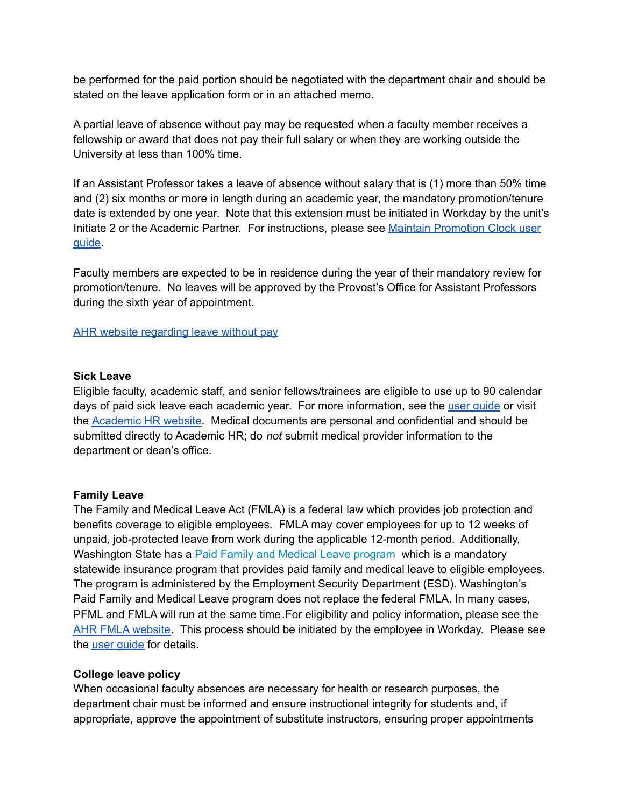be performed for the paid portion should be negotiated with the department chair and should be stated on the leave application form or in an attached memo.

A partial leave of absence without pay may be requested when a faculty member receives a fellowship or award that does not pay their full salary or when they are working outside the University at less than 100% time.

If an Assistant Professor takes a leave of absence without salary that is (1) more than 50% time and (2) six months or more in length during an academic year, the mandatory promotion/tenure date is extended by one year. Note that this extension must be initiated in Workday by the unit's Initiate 2 or the Academic Partner. For instructions, please see Maintain [Promotion](https://isc.uw.edu/user-guides/maintain_promotion_clock/) Clock user [guide.](https://isc.uw.edu/user-guides/maintain_promotion_clock/)

Faculty members are expected to be in residence during the year of their mandatory review for promotion/tenure. No leaves will be approved by the Provost's Office for Assistant Professors during the sixth year of appointment.

AHR website [regarding](http://ap.washington.edu/ahr/policies/leaves/leave-without-pay/) leave without pay

#### **Sick Leave**

Eligible faculty, academic staff, and senior fellows/trainees are eligible to use up to 90 calendar days of paid sick leave each academic year. For more information, see the user [guide](https://isc.uw.edu/user-guides/loa_sick_injured_becoming_parent_ap/) or visit the [Academic](http://ap.washington.edu/ahr/policies/leaves/paid-sick-leave/) HR website. Medical documents are personal and confidential and should be submitted directly to Academic HR; do *not* submit medical provider information to the department or dean's office.

### **Family Leave**

The Family and Medical Leave Act (FMLA) is a federal law which provides job protection and benefits coverage to eligible employees. FMLA may cover employees for up to 12 weeks of unpaid, job-protected leave from work during the applicable 12-month period. Additionally, Washington State has a Paid Family and Medical Leave [program](https://paidleave.wa.gov/) which is a mandatory statewide insurance program that provides paid family and medical leave to eligible employees. The program is administered by the Employment Security Department (ESD). Washington's Paid Family and Medical Leave program does not replace the federal FMLA. In many cases, PFML and FMLA will run at the same time.For eligibility and policy information, please see the AHR FMLA [website.](http://ap.washington.edu/ahr/policies/leaves/family-and-medical-leaves/) This process should be initiated by the employee in Workday. Please see the *user quide* for details.

#### **College leave policy**

When occasional faculty absences are necessary for health or research purposes, the department chair must be informed and ensure instructional integrity for students and, if appropriate, approve the appointment of substitute instructors, ensuring proper appointments